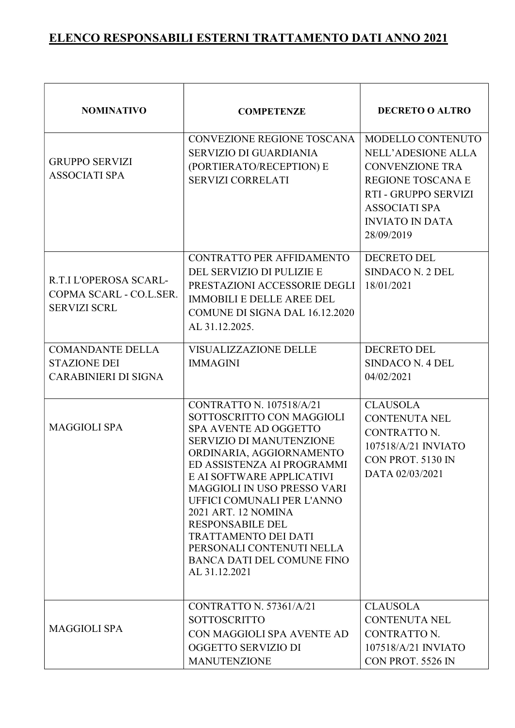| <b>NOMINATIVO</b>                                                             | <b>COMPETENZE</b>                                                                                                                                                                                                                                                                                                                                                                                                                                | <b>DECRETO O ALTRO</b>                                                                                                                                                                       |
|-------------------------------------------------------------------------------|--------------------------------------------------------------------------------------------------------------------------------------------------------------------------------------------------------------------------------------------------------------------------------------------------------------------------------------------------------------------------------------------------------------------------------------------------|----------------------------------------------------------------------------------------------------------------------------------------------------------------------------------------------|
| <b>GRUPPO SERVIZI</b><br><b>ASSOCIATI SPA</b>                                 | CONVEZIONE REGIONE TOSCANA<br><b>SERVIZIO DI GUARDIANIA</b><br>(PORTIERATO/RECEPTION) E<br><b>SERVIZI CORRELATI</b>                                                                                                                                                                                                                                                                                                                              | MODELLO CONTENUTO<br><b>NELL'ADESIONE ALLA</b><br><b>CONVENZIONE TRA</b><br><b>REGIONE TOSCANA E</b><br>RTI - GRUPPO SERVIZI<br><b>ASSOCIATI SPA</b><br><b>INVIATO IN DATA</b><br>28/09/2019 |
| R.T.I L'OPEROSA SCARL-<br>COPMA SCARL - CO.L.SER.<br><b>SERVIZI SCRL</b>      | CONTRATTO PER AFFIDAMENTO<br>DEL SERVIZIO DI PULIZIE E<br>PRESTAZIONI ACCESSORIE DEGLI<br><b>IMMOBILI E DELLE AREE DEL</b><br>COMUNE DI SIGNA DAL 16.12.2020<br>AL 31.12.2025.                                                                                                                                                                                                                                                                   | <b>DECRETO DEL</b><br>SINDACO N. 2 DEL<br>18/01/2021                                                                                                                                         |
| <b>COMANDANTE DELLA</b><br><b>STAZIONE DEI</b><br><b>CARABINIERI DI SIGNA</b> | <b>VISUALIZZAZIONE DELLE</b><br><b>IMMAGINI</b>                                                                                                                                                                                                                                                                                                                                                                                                  | <b>DECRETO DEL</b><br><b>SINDACO N. 4 DEL</b><br>04/02/2021                                                                                                                                  |
| <b>MAGGIOLI SPA</b>                                                           | CONTRATTO N. 107518/A/21<br>SOTTOSCRITTO CON MAGGIOLI<br>SPA AVENTE AD OGGETTO<br><b>SERVIZIO DI MANUTENZIONE</b><br>ORDINARIA, AGGIORNAMENTO<br>ED ASSISTENZA AI PROGRAMMI<br>E AI SOFTWARE APPLICATIVI<br><b>MAGGIOLI IN USO PRESSO VARI</b><br>UFFICI COMUNALI PER L'ANNO<br>2021 ART. 12 NOMINA<br><b>RESPONSABILE DEL</b><br><b>TRATTAMENTO DEI DATI</b><br>PERSONALI CONTENUTI NELLA<br><b>BANCA DATI DEL COMUNE FINO</b><br>AL 31.12.2021 | <b>CLAUSOLA</b><br><b>CONTENUTA NEL</b><br>CONTRATTO N.<br>107518/A/21 INVIATO<br>CON PROT. 5130 IN<br>DATA 02/03/2021                                                                       |
| <b>MAGGIOLI SPA</b>                                                           | CONTRATTO N. 57361/A/21<br><b>SOTTOSCRITTO</b><br>CON MAGGIOLI SPA AVENTE AD<br>OGGETTO SERVIZIO DI<br><b>MANUTENZIONE</b>                                                                                                                                                                                                                                                                                                                       | <b>CLAUSOLA</b><br><b>CONTENUTA NEL</b><br>CONTRATTO N.<br>107518/A/21 INVIATO<br>CON PROT. 5526 IN                                                                                          |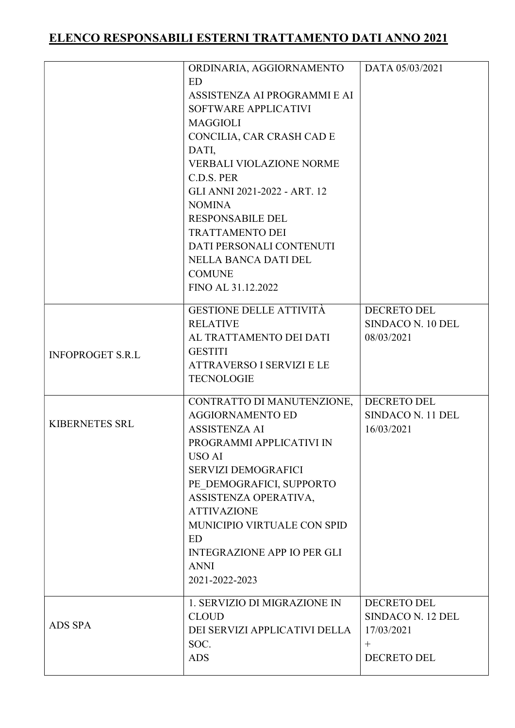|                         | ORDINARIA, AGGIORNAMENTO<br><b>ED</b><br>ASSISTENZA AI PROGRAMMI E AI<br>SOFTWARE APPLICATIVI<br><b>MAGGIOLI</b><br>CONCILIA, CAR CRASH CAD E<br>DATI,<br><b>VERBALI VIOLAZIONE NORME</b><br>C.D.S. PER<br>GLI ANNI 2021-2022 - ART. 12<br><b>NOMINA</b><br><b>RESPONSABILE DEL</b><br><b>TRATTAMENTO DEI</b><br>DATI PERSONALI CONTENUTI<br>NELLA BANCA DATI DEL<br><b>COMUNE</b><br>FINO AL 31.12.2022 | DATA 05/03/2021                                                                |
|-------------------------|----------------------------------------------------------------------------------------------------------------------------------------------------------------------------------------------------------------------------------------------------------------------------------------------------------------------------------------------------------------------------------------------------------|--------------------------------------------------------------------------------|
| <b>INFOPROGET S.R.L</b> | GESTIONE DELLE ATTIVITÀ<br><b>RELATIVE</b><br>AL TRATTAMENTO DEI DATI<br><b>GESTITI</b><br><b>ATTRAVERSO I SERVIZI E LE</b><br><b>TECNOLOGIE</b>                                                                                                                                                                                                                                                         | <b>DECRETO DEL</b><br>SINDACO N. 10 DEL<br>08/03/2021                          |
| <b>KIBERNETES SRL</b>   | CONTRATTO DI MANUTENZIONE,<br><b>AGGIORNAMENTO ED</b><br><b>ASSISTENZA AI</b><br>PROGRAMMI APPLICATIVI IN<br><b>USO AI</b><br><b>SERVIZI DEMOGRAFICI</b><br>PE DEMOGRAFICI, SUPPORTO<br>ASSISTENZA OPERATIVA,<br><b>ATTIVAZIONE</b><br>MUNICIPIO VIRTUALE CON SPID<br>ED.<br><b>INTEGRAZIONE APP IO PER GLI</b><br><b>ANNI</b><br>2021-2022-2023                                                         | <b>DECRETO DEL</b><br>SINDACO N. 11 DEL<br>16/03/2021                          |
| <b>ADS SPA</b>          | 1. SERVIZIO DI MIGRAZIONE IN<br><b>CLOUD</b><br>DEI SERVIZI APPLICATIVI DELLA<br>SOC.<br><b>ADS</b>                                                                                                                                                                                                                                                                                                      | DECRETO DEL<br>SINDACO N. 12 DEL<br>17/03/2021<br>$^{+}$<br><b>DECRETO DEL</b> |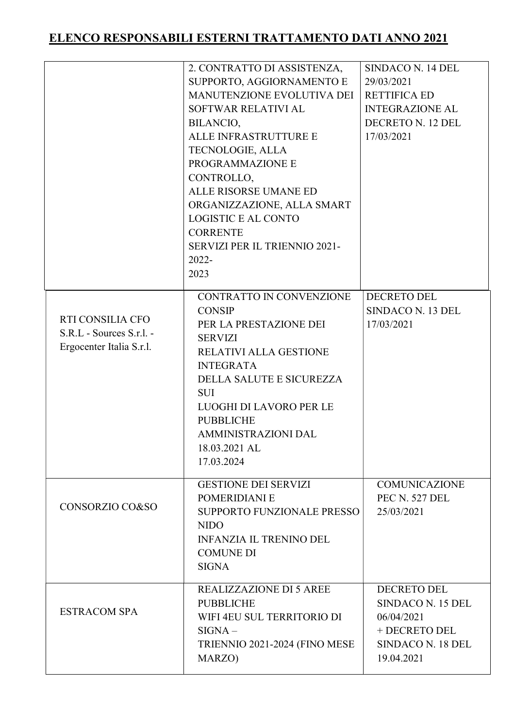|                                                                          | 2. CONTRATTO DI ASSISTENZA,<br>SUPPORTO, AGGIORNAMENTO E<br>MANUTENZIONE EVOLUTIVA DEI<br>SOFTWAR RELATIVI AL<br>BILANCIO,<br>ALLE INFRASTRUTTURE E<br>TECNOLOGIE, ALLA<br>PROGRAMMAZIONE E<br>CONTROLLO,<br>ALLE RISORSE UMANE ED<br>ORGANIZZAZIONE, ALLA SMART<br><b>LOGISTIC E AL CONTO</b><br><b>CORRENTE</b><br>SERVIZI PER IL TRIENNIO 2021-<br>$2022 -$<br>2023 | SINDACO N. 14 DEL<br>29/03/2021<br><b>RETTIFICA ED</b><br><b>INTEGRAZIONE AL</b><br>DECRETO N. 12 DEL<br>17/03/2021 |
|--------------------------------------------------------------------------|------------------------------------------------------------------------------------------------------------------------------------------------------------------------------------------------------------------------------------------------------------------------------------------------------------------------------------------------------------------------|---------------------------------------------------------------------------------------------------------------------|
| RTI CONSILIA CFO<br>S.R.L - Sources S.r.l. -<br>Ergocenter Italia S.r.l. | CONTRATTO IN CONVENZIONE<br><b>CONSIP</b><br>PER LA PRESTAZIONE DEI<br><b>SERVIZI</b><br>RELATIVI ALLA GESTIONE<br><b>INTEGRATA</b><br>DELLA SALUTE E SICUREZZA<br><b>SUI</b><br>LUOGHI DI LAVORO PER LE<br><b>PUBBLICHE</b><br><b>AMMINISTRAZIONI DAL</b><br>18.03.2021 AL<br>17.03.2024                                                                              | <b>DECRETO DEL</b><br>SINDACO N. 13 DEL<br>17/03/2021                                                               |
| CONSORZIO CO&SO                                                          | <b>GESTIONE DEI SERVIZI</b><br>POMERIDIANI E<br><b>SUPPORTO FUNZIONALE PRESSO</b><br><b>NIDO</b><br><b>INFANZIA IL TRENINO DEL</b><br><b>COMUNE DI</b><br><b>SIGNA</b>                                                                                                                                                                                                 | <b>COMUNICAZIONE</b><br>PEC N. 527 DEL<br>25/03/2021                                                                |
| <b>ESTRACOM SPA</b>                                                      | <b>REALIZZAZIONE DI 5 AREE</b><br><b>PUBBLICHE</b><br>WIFI 4EU SUL TERRITORIO DI<br>$SIGNA -$<br>TRIENNIO 2021-2024 (FINO MESE<br>MARZO)                                                                                                                                                                                                                               | <b>DECRETO DEL</b><br>SINDACO N. 15 DEL<br>06/04/2021<br>+ DECRETO DEL<br>SINDACO N. 18 DEL<br>19.04.2021           |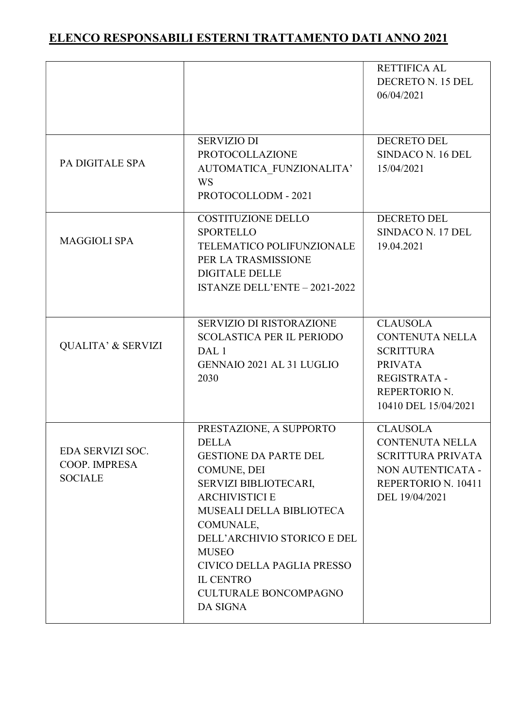|                                                     |                                                                                                                                                                                                                                                                                                                                       | <b>RETTIFICA AL</b><br>DECRETO N. 15 DEL<br>06/04/2021                                                                                          |
|-----------------------------------------------------|---------------------------------------------------------------------------------------------------------------------------------------------------------------------------------------------------------------------------------------------------------------------------------------------------------------------------------------|-------------------------------------------------------------------------------------------------------------------------------------------------|
| PA DIGITALE SPA                                     | <b>SERVIZIO DI</b><br><b>PROTOCOLLAZIONE</b><br>AUTOMATICA FUNZIONALITA'<br><b>WS</b><br>PROTOCOLLODM - 2021                                                                                                                                                                                                                          | <b>DECRETO DEL</b><br>SINDACO N. 16 DEL<br>15/04/2021                                                                                           |
| <b>MAGGIOLI SPA</b>                                 | COSTITUZIONE DELLO<br><b>SPORTELLO</b><br>TELEMATICO POLIFUNZIONALE<br>PER LA TRASMISSIONE<br><b>DIGITALE DELLE</b><br>ISTANZE DELL'ENTE - 2021-2022                                                                                                                                                                                  | <b>DECRETO DEL</b><br>SINDACO N. 17 DEL<br>19.04.2021                                                                                           |
| <b>QUALITA' &amp; SERVIZI</b>                       | <b>SERVIZIO DI RISTORAZIONE</b><br><b>SCOLASTICA PER IL PERIODO</b><br>DAL 1<br><b>GENNAIO 2021 AL 31 LUGLIO</b><br>2030                                                                                                                                                                                                              | <b>CLAUSOLA</b><br><b>CONTENUTA NELLA</b><br><b>SCRITTURA</b><br><b>PRIVATA</b><br><b>REGISTRATA -</b><br>REPERTORIO N.<br>10410 DEL 15/04/2021 |
| EDA SERVIZI SOC.<br>COOP. IMPRESA<br><b>SOCIALE</b> | PRESTAZIONE, A SUPPORTO<br><b>DELLA</b><br><b>GESTIONE DA PARTE DEL</b><br>COMUNE, DEI<br>SERVIZI BIBLIOTECARI,<br><b>ARCHIVISTICI E</b><br><b>MUSEALI DELLA BIBLIOTECA</b><br>COMUNALE,<br>DELL'ARCHIVIO STORICO E DEL<br><b>MUSEO</b><br>CIVICO DELLA PAGLIA PRESSO<br><b>IL CENTRO</b><br><b>CULTURALE BONCOMPAGNO</b><br>DA SIGNA | <b>CLAUSOLA</b><br><b>CONTENUTA NELLA</b><br><b>SCRITTURA PRIVATA</b><br>NON AUTENTICATA -<br>REPERTORIO N. 10411<br>DEL 19/04/2021             |